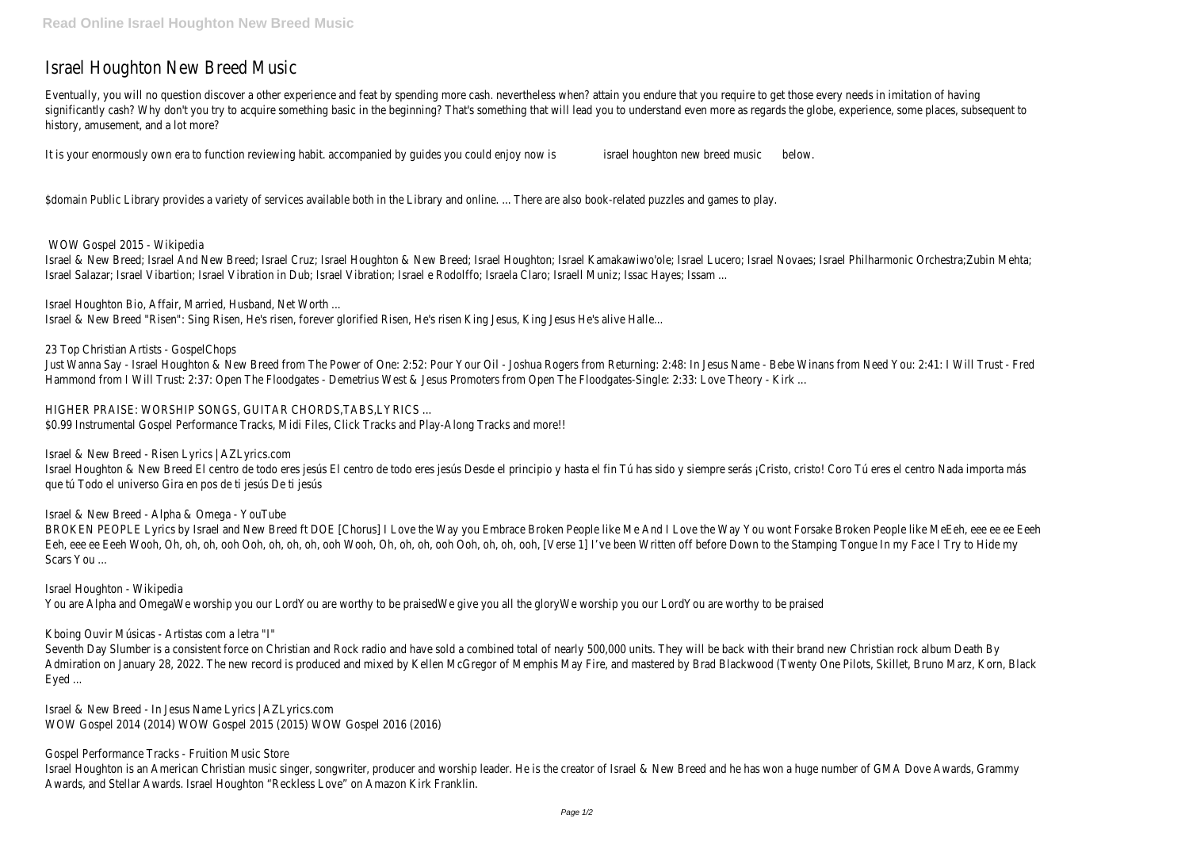# Israel Houghton New Breed Musi

Eventually, you will no question discover a other experience and feat by spending more cash. nevertheless when? attain you endure that you require to get those every needs in imitation of significantly cash? Why don't you try to acquire something basic in the beginning? That's something that will lead you to understand even more as regards the globe, experience, some places, subseq history, amusement, and a lot more

It is your enormously own era to function reviewing habit. accompanied by guides you could enjoysneed his ughton new breed musice low.

\$domain Public Library provides a variety of services available both in the Library and online. ... There are also book-related puzzles and games to

WOW Gospel 2015 - Wikipedia

Israel & New Breed; Israel And New Breed; Israel Cruz; Israel Houghton & New Breed; Israel Houghton; Israel Kamakawiwo'ole; Israel Lucero; Israel Novaes; Israel Philharmonic Orchestra;Zubin Israel Salazar; Israel Vibartion; Israel Vibration in Dub; Israel Vibration; Israel e Rodolffo; Israela Claro; Israell Muniz; Issac Hayes; Issa

Israel Houghton Bio, Affair, Married, Husband, Net Worth Israel & New Breed "Risen": Sing Risen, He's risen, forever glorified Risen, He's risen King Jesus, King Jesus He's alive Ha

23 Top Christian Artists - GospelChop

Just Wanna Say - Israel Houghton & New Breed from The Power of One: 2:52: Pour Your Oil - Joshua Rogers from Returning: 2:48: In Jesus Name - Bebe Winans from Need You: 2:41: I Will Trus Hammond from I Will Trust: 2:37: Open The Floodgates - Demetrius West & Jesus Promoters from Open The Floodgates-Single: 2:33: Love Theory - I

HIGHER PRAISE: WORSHIP SONGS, GUITAR CHORDS, TABS, LYRICS \$0.99 Instrumental Gospel Performance Tracks, Midi Files, Click Tracks and Play-Along Tracks and mo

Israel & New Breed - Risen Lyrics | AZLyrics.com

Israel Houghton & New Breed El centro de todo eres jesús El centro de todo eres jesús Desde el principio y hasta el fin Tú has sido y siempre serás ¡Cristo, cristo! Coro Tú eres el centro Nada impor que tú Todo el universo Gira en pos de ti jesús De ti jesús

Israel & New Breed - Alpha & Omega - YouTub

BROKEN PEOPLE Lyrics by Israel and New Breed ft DOE [Chorus] I Love the Way you Embrace Broken People like Me And I Love the Way You wont Forsake Broken People like MeEeh, eee ee e Eeh, eee ee Eeeh Wooh, Oh, oh, oh, ooh Ooh, oh, oh, ooh Wooh, Oh, oh, oh, ooh Ooh, oh, ooh, [Verse 1] I've been Written off before Down to the Stamping Tongue In my Face I Try to F Scars You ...

Seventh Day Slumber is a consistent force on Christian and Rock radio and have sold a combined total of nearly 500,000 units. They will be back with their brand new Christian rock album De Admiration on January 28, 2022. The new record is produced and mixed by Kellen McGregor of Memphis May Fire, and mastered by Brad Blackwood (Twenty One Pilots, Skillet, Bruno Marz, Korr Eyed ...

Israel Houghton - Wikipedia You are Alpha and OmegaWe worship you our LordYou are worthy to be praisedWe give you all the gloryWe worship you our LordYou are worthy to be praised

Kboing Ouvir Músicas - Artistas com a letra "

Israel & New Breed - In Jesus Name Lyrics | AZLyrics.com WOW Gospel 2014 (2014) WOW Gospel 2015 (2015) WOW Gospel 2016 (2016)

Gospel Performance Tracks - Fruition Music Store

Israel Houghton is an American Christian music singer, songwriter, producer and worship leader. He is the creator of Israel & New Breed and he has won a huge number of GMA Dove Awards, G Awards, and Stellar Awards. Israel Houghton "Reckless Love" on Amazon Kirk Frank